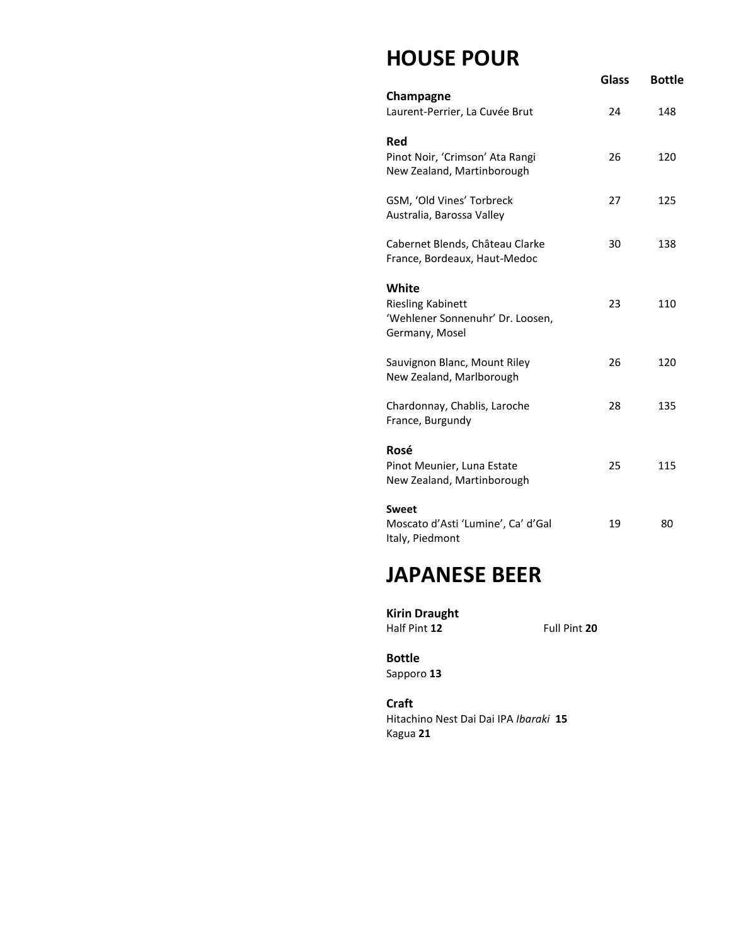## **HOUSE POUR**

|                                                                                         | Glass | <b>Bottle</b> |
|-----------------------------------------------------------------------------------------|-------|---------------|
| Champagne<br>Laurent-Perrier, La Cuvée Brut                                             | 24    | 148           |
| <b>Red</b><br>Pinot Noir, 'Crimson' Ata Rangi<br>New Zealand, Martinborough             | 26    | 120           |
| GSM, 'Old Vines' Torbreck<br>Australia, Barossa Valley                                  | 27    | 125           |
| Cabernet Blends, Château Clarke<br>France, Bordeaux, Haut-Medoc                         | 30    | 138           |
| White<br><b>Riesling Kabinett</b><br>'Wehlener Sonnenuhr' Dr. Loosen,<br>Germany, Mosel | 23    | 110           |
| Sauvignon Blanc, Mount Riley<br>New Zealand, Marlborough                                | 26    | 120           |
| Chardonnay, Chablis, Laroche<br>France, Burgundy                                        | 28    | 135           |
| Rosé<br>Pinot Meunier, Luna Estate<br>New Zealand, Martinborough                        | 25    | 115           |
| <b>Sweet</b><br>Moscato d'Asti 'Lumine', Ca' d'Gal<br>Italy, Piedmont                   | 19    | 80            |

# **JAPANESE BEER**

**Kirin Draught** Half Pint **12** Full Pint **20**

**Bottle**  Sapporo **13**

**Craft**  Hitachino Nest Dai Dai IPA *Ibaraki* **15** Kagua **21**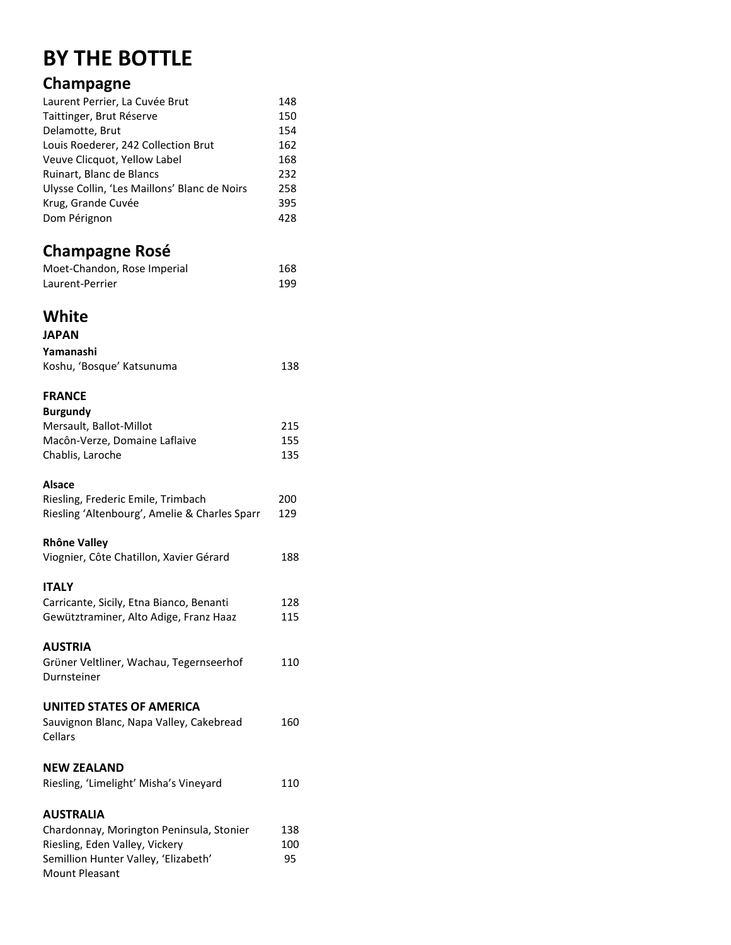## **BY THE BOTTLE**

### **Champagne**

| Laurent Perrier, La Cuvée Brut               | 148 |
|----------------------------------------------|-----|
| Taittinger, Brut Réserve                     | 150 |
| Delamotte, Brut                              | 154 |
| Louis Roederer, 242 Collection Brut          | 162 |
| Veuve Clicquot, Yellow Label                 | 168 |
| Ruinart, Blanc de Blancs                     | 232 |
| Ulysse Collin, 'Les Maillons' Blanc de Noirs | 258 |
| Krug, Grande Cuvée                           | 395 |
| Dom Pérignon                                 | 428 |
|                                              |     |

### **Champagne Rosé**

| Moet-Chandon, Rose Imperial | 168 |
|-----------------------------|-----|
| Laurent-Perrier             | 199 |

### **White**

| <b>JAPAN</b>              |     |
|---------------------------|-----|
| Yamanashi                 |     |
| Koshu, 'Bosque' Katsunuma | 138 |

### **FRANCE**

| <b>Burgundy</b>               |     |
|-------------------------------|-----|
| Mersault, Ballot-Millot       | 215 |
| Macôn-Verze, Domaine Laflaive | 155 |
| Chablis, Laroche              | 135 |
|                               |     |

#### **Alsace**

| Riesling, Frederic Emile, Trimbach            | 200 |
|-----------------------------------------------|-----|
| Riesling 'Altenbourg', Amelie & Charles Sparr | 129 |

#### **Rhône Valley**

| Viognier, Côte Chatillon, Xavier Gérard | 188 |
|-----------------------------------------|-----|
|                                         |     |

#### **ITALY**

| Carricante, Sicily, Etna Bianco, Benanti | 128 |
|------------------------------------------|-----|
| Gewütztraminer, Alto Adige, Franz Haaz   | 115 |

#### **AUSTRIA**

| Grüner Veltliner, Wachau, Tegernseerhof | 110 |
|-----------------------------------------|-----|
| Durnsteiner                             |     |

#### **UNITED STATES OF AMERICA**

| Sauvignon Blanc, Napa Valley, Cakebread | 160 |
|-----------------------------------------|-----|
| Cellars                                 |     |

#### **NEW ZEALAND**

| Riesling, 'Limelight' Misha's Vineyard | 110 |
|----------------------------------------|-----|
|----------------------------------------|-----|

#### **AUSTRALIA**

| Chardonnay, Morington Peninsula, Stonier | 138 |
|------------------------------------------|-----|
| Riesling, Eden Valley, Vickery           | 100 |
| Semillion Hunter Valley, 'Elizabeth'     | 95. |
| <b>Mount Pleasant</b>                    |     |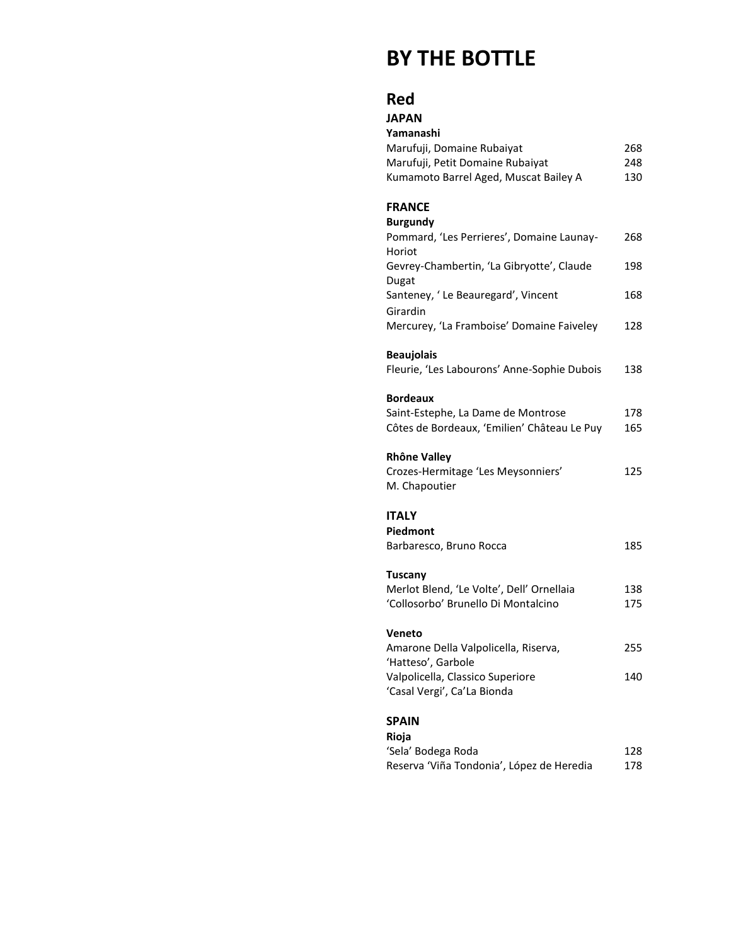## **BY THE BOTTLE**

#### **Red**

| <b>JAPAN</b>                                        |     |
|-----------------------------------------------------|-----|
| Yamanashi                                           |     |
| Marufuji, Domaine Rubaiyat                          | 268 |
| Marufuji, Petit Domaine Rubaiyat                    | 248 |
| Kumamoto Barrel Aged, Muscat Bailey A               | 130 |
| <b>FRANCE</b>                                       |     |
| <b>Burgundy</b>                                     |     |
| Pommard, 'Les Perrieres', Domaine Launay-<br>Horiot | 268 |
| Gevrey-Chambertin, 'La Gibryotte', Claude           | 198 |
| Dugat<br>Santeney, 'Le Beauregard', Vincent         | 168 |
| Girardin                                            |     |
| Mercurey, 'La Framboise' Domaine Faiveley           | 128 |
| <b>Beaujolais</b>                                   |     |
| Fleurie, 'Les Labourons' Anne-Sophie Dubois         | 138 |
| <b>Bordeaux</b>                                     |     |
| Saint-Estephe, La Dame de Montrose                  | 178 |
| Côtes de Bordeaux, 'Emilien' Château Le Puy         | 165 |
| <b>Rhône Valley</b>                                 |     |
| Crozes-Hermitage 'Les Meysonniers'                  | 125 |
| M. Chapoutier                                       |     |
| ITALY                                               |     |
| Piedmont                                            |     |
| Barbaresco, Bruno Rocca                             | 185 |
| <b>Tuscany</b>                                      |     |
| Merlot Blend, 'Le Volte', Dell' Ornellaia           | 138 |
| 'Collosorbo' Brunello Di Montalcino                 | 175 |
| Veneto                                              |     |
| Amarone Della Valpolicella, Riserva,                | 255 |
| 'Hatteso', Garbole                                  |     |
| Valpolicella, Classico Superiore                    | 140 |
| 'Casal Vergi', Ca'La Bionda                         |     |
| <b>SPAIN</b>                                        |     |
| Rioja                                               |     |
| 'Sela' Bodega Roda                                  | 128 |
| Reserva 'Viña Tondonia', López de Heredia           | 178 |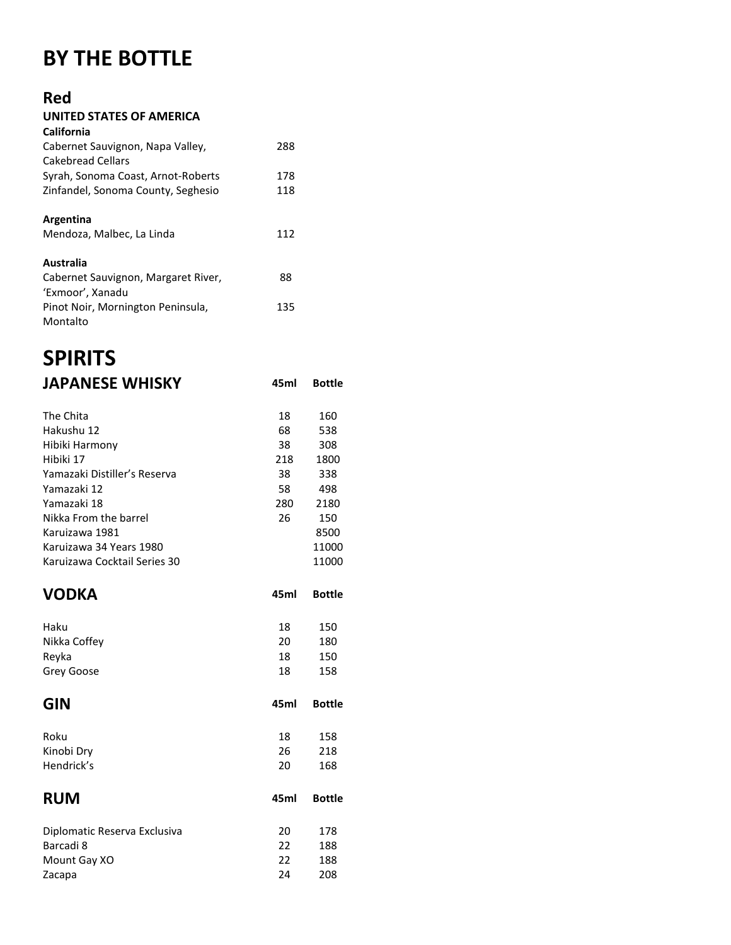# **BY THE BOTTLE**

### **Red**

| UNITED STATES OF AMERICA            |     |
|-------------------------------------|-----|
| California                          |     |
| Cabernet Sauvignon, Napa Valley,    | 288 |
| Cakebread Cellars                   |     |
| Syrah, Sonoma Coast, Arnot-Roberts  | 178 |
| Zinfandel, Sonoma County, Seghesio  | 118 |
|                                     |     |
| Argentina                           |     |
| Mendoza, Malbec, La Linda           | 112 |
|                                     |     |
| Australia                           |     |
| Cabernet Sauvignon, Margaret River, | 88  |
| 'Exmoor', Xanadu                    |     |
| Pinot Noir, Mornington Peninsula,   | 135 |
| Montalto                            |     |

## **SPIRITS JAPANESE WHISKY 45ml Bottle**

| The Chita                    | 18   | 160           |
|------------------------------|------|---------------|
| Hakushu 12                   | 68   | 538           |
| Hibiki Harmony               | 38   | 308           |
| Hibiki 17                    | 218  | 1800          |
| Yamazaki Distiller's Reserva | 38   | 338           |
| Yamazaki 12                  | 58   | 498           |
| Yamazaki 18                  | 280  | 2180          |
| Nikka From the barrel        | 26   | 150           |
| Karuizawa 1981               |      | 8500          |
| Karuizawa 34 Years 1980      |      | 11000         |
| Karuizawa Cocktail Series 30 |      | 11000         |
| <b>VODKA</b>                 | 45ml | <b>Bottle</b> |
| Haku                         | 18   | 150           |
| Nikka Coffey                 | 20   | 180           |
| Reyka                        | 18   | 150           |
| Grey Goose                   | 18   | 158           |
| <b>GIN</b>                   | 45ml | <b>Bottle</b> |
| Roku                         | 18   | 158           |
| Kinobi Dry                   | 26   | 218           |
| Hendrick's                   | 20   | 168           |
| <b>RUM</b>                   | 45ml | <b>Bottle</b> |
| Diplomatic Reserva Exclusiva | 20   | 178           |
| Barcadi 8                    | 22   | 188           |
| Mount Gay XO                 | 22   | 188           |
| Zacapa                       | 24   | 208           |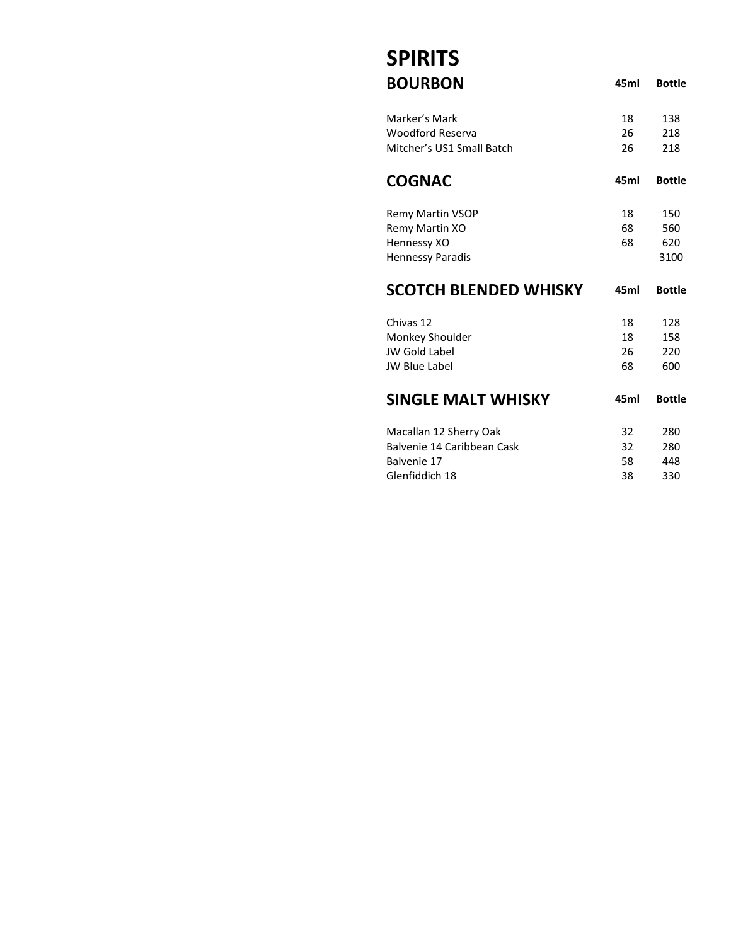# **SPIRITS**

| <b>BOURBON</b>               | 45ml | <b>Bottle</b> |
|------------------------------|------|---------------|
| Marker's Mark                | 18   | 138           |
| Woodford Reserva             | 26   | 218           |
| Mitcher's US1 Small Batch    | 26   | 218           |
| <b>COGNAC</b>                | 45ml | <b>Bottle</b> |
| <b>Remy Martin VSOP</b>      | 18   | 150           |
| Remy Martin XO               | 68   | 560           |
| Hennessy XO                  | 68   | 620           |
| <b>Hennessy Paradis</b>      |      | 3100          |
| <b>SCOTCH BLENDED WHISKY</b> | 45ml | <b>Bottle</b> |
| Chivas 12                    | 18   | 128           |
| Monkey Shoulder              | 18   | 158           |
| <b>JW Gold Label</b>         | 26   | 220           |
| <b>JW Blue Label</b>         | 68   | 600           |
| <b>SINGLE MALT WHISKY</b>    | 45ml | <b>Bottle</b> |
| Macallan 12 Sherry Oak       | 32   | 280           |
| Balvenie 14 Caribbean Cask   | 32   | 280           |
| Balvenie 17                  | 58   | 448           |
| Glenfiddich 18               | 38   | 330           |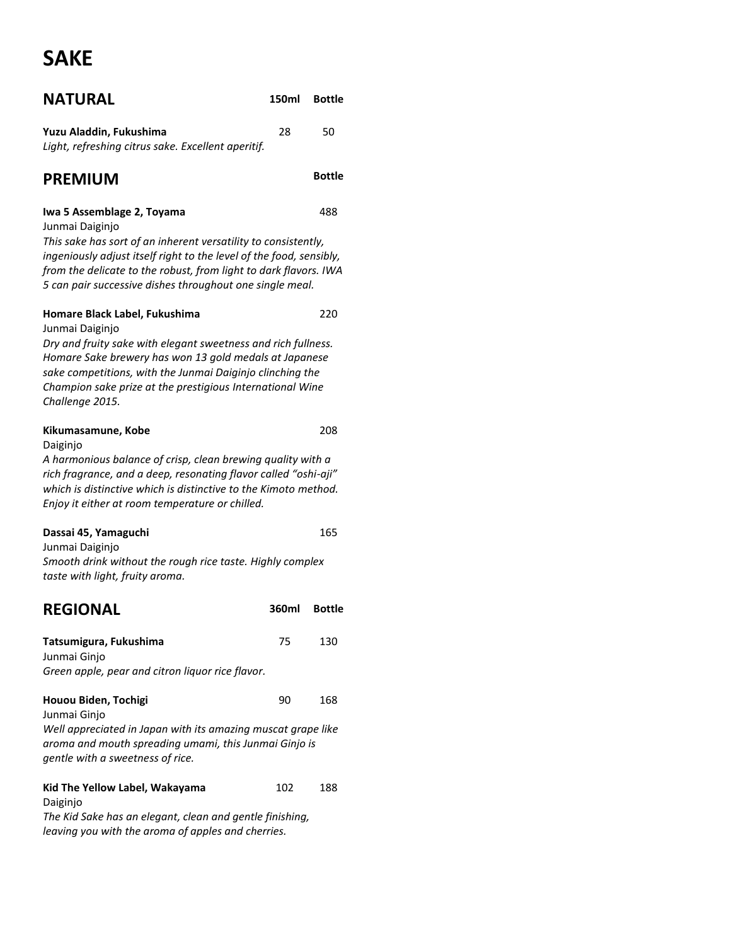# **SAKE**

| <b>NATURAL</b>                                                                                                                                                                                                                                                        | 150ml | <b>Bottle</b> |
|-----------------------------------------------------------------------------------------------------------------------------------------------------------------------------------------------------------------------------------------------------------------------|-------|---------------|
| Yuzu Aladdin, Fukushima<br>Light, refreshing citrus sake. Excellent aperitif.                                                                                                                                                                                         | 28    | 50            |
| <b>PREMIUM</b>                                                                                                                                                                                                                                                        |       | <b>Bottle</b> |
| Iwa 5 Assemblage 2, Toyama<br>Junmai Daiginjo                                                                                                                                                                                                                         |       | 488           |
| This sake has sort of an inherent versatility to consistently,<br>ingeniously adjust itself right to the level of the food, sensibly,<br>from the delicate to the robust, from light to dark flavors. IWA<br>5 can pair successive dishes throughout one single meal. |       |               |
| Homare Black Label, Fukushima<br>Junmai Daiginjo                                                                                                                                                                                                                      |       | 220           |
| Dry and fruity sake with elegant sweetness and rich fullness.<br>Homare Sake brewery has won 13 gold medals at Japanese<br>sake competitions, with the Junmai Daiginjo clinching the<br>Champion sake prize at the prestigious International Wine<br>Challenge 2015.  |       |               |
| Kikumasamune, Kobe<br>Daiginjo                                                                                                                                                                                                                                        |       | 208           |
| A harmonious balance of crisp, clean brewing quality with a<br>rich fragrance, and a deep, resonating flavor called "oshi-aji"<br>which is distinctive which is distinctive to the Kimoto method.<br>Enjoy it either at room temperature or chilled.                  |       |               |
| Dassai 45, Yamaguchi                                                                                                                                                                                                                                                  |       | 165           |
| Junmai Daiginjo<br>Smooth drink without the rough rice taste. Highly complex<br>taste with light, fruity aroma.                                                                                                                                                       |       |               |
| <b>REGIONAL</b>                                                                                                                                                                                                                                                       | 360ml | <b>Bottle</b> |
| Tatsumigura, Fukushima<br>Junmai Ginjo<br>Green apple, pear and citron liquor rice flavor.                                                                                                                                                                            | 75    | 130           |
| Houou Biden, Tochigi                                                                                                                                                                                                                                                  | 90    | 168           |
| Junmai Ginjo<br>Well appreciated in Japan with its amazing muscat grape like<br>aroma and mouth spreading umami, this Junmai Ginjo is<br>gentle with a sweetness of rice.                                                                                             |       |               |
| Kid The Yellow Label, Wakayama<br>Daiginjo                                                                                                                                                                                                                            | 102   | 188           |

*The Kid Sake has an elegant, clean and gentle finishing, leaving you with the aroma of apples and cherries.*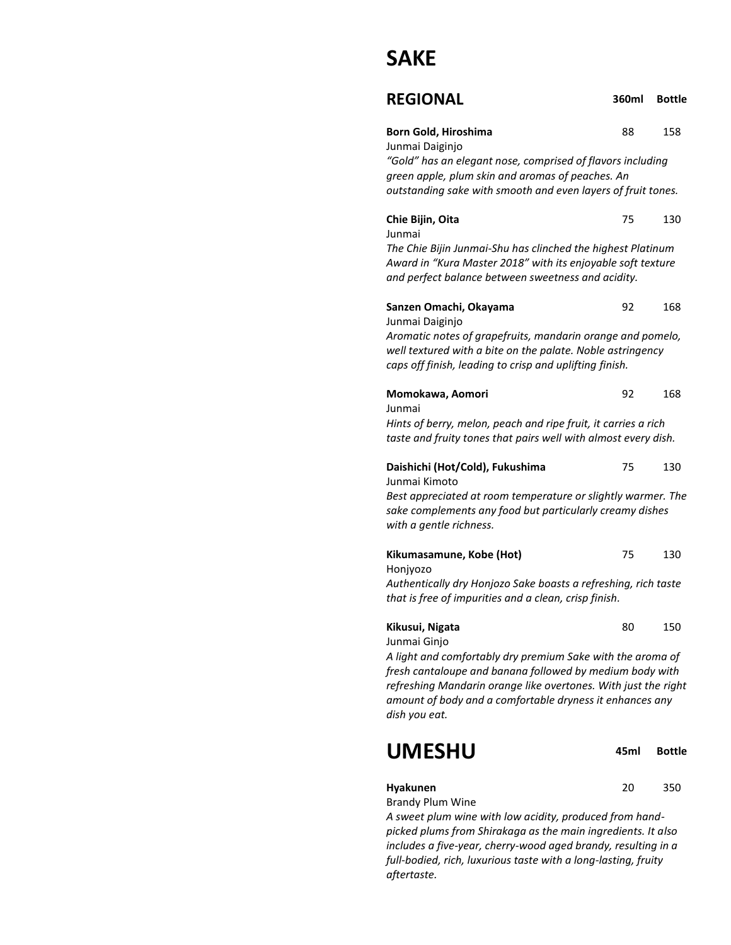## **SAKE**

| <b>REGIONAL</b> | 360ml Bottle |  |
|-----------------|--------------|--|
|                 |              |  |

| Born Gold, Hiroshima | 88 | 158 |
|----------------------|----|-----|
|----------------------|----|-----|

Junmai Daiginjo *"Gold" has an elegant nose, comprised of flavors including green apple, plum skin and aromas of peaches. An outstanding sake with smooth and even layers of fruit tones.*

| Chie Bijin, Oita | 130 |
|------------------|-----|
|                  |     |

Junmai

*The Chie Bijin Junmai-Shu has clinched the highest Platinum Award in "Kura Master 2018" with its enjoyable soft texture and perfect balance between sweetness and acidity.*

| Sanzen Omachi, Okayama                           |  |  |  |  | 92 | 168 |
|--------------------------------------------------|--|--|--|--|----|-----|
| Junmai Daiginjo                                  |  |  |  |  |    |     |
| $\sim$ $\sim$ $\sim$ $\sim$ $\sim$ $\sim$ $\sim$ |  |  |  |  |    |     |

*Aromatic notes of grapefruits, mandarin orange and pomelo, well textured with a bite on the palate. Noble astringency caps off finish, leading to crisp and uplifting finish.*

| Momokawa, Aomori                                               | -92. | 168 |
|----------------------------------------------------------------|------|-----|
| Junmai                                                         |      |     |
| Hints of berry, melon, peach and ripe fruit, it carries a rich |      |     |
| taste and fruity tones that pairs well with almost every dish. |      |     |

| Daishichi (Hot/Cold), Fukushima | 130 |
|---------------------------------|-----|
|                                 |     |

Junmai Kimoto *Best appreciated at room temperature or slightly warmer. The sake complements any food but particularly creamy dishes with a gentle richness.*

| Kikumasamune, Kobe (Hot)                                       | 75 | 130 |
|----------------------------------------------------------------|----|-----|
| Honivozo                                                       |    |     |
| Authentically dry Honjozo Sake boasts a refreshing, rich taste |    |     |

*that is free of impurities and a clean, crisp finish.*

| Kikusui, Nigata | 150 |
|-----------------|-----|
| $\cdots$        |     |

Junmai Ginjo

*A light and comfortably dry premium Sake with the aroma of fresh cantaloupe and banana followed by medium body with refreshing Mandarin orange like overtones. With just the right amount of body and a comfortable dryness it enhances any dish you eat.*

| <b>UMESHU</b> | 45ml Bottle |
|---------------|-------------|
|               |             |

#### **Hyakunen** 20 350

Brandy Plum Wine

*A sweet plum wine with low acidity, produced from handpicked plums from Shirakaga as the main ingredients. It also includes a five-year, cherry-wood aged brandy, resulting in a full-bodied, rich, luxurious taste with a long-lasting, fruity aftertaste.*